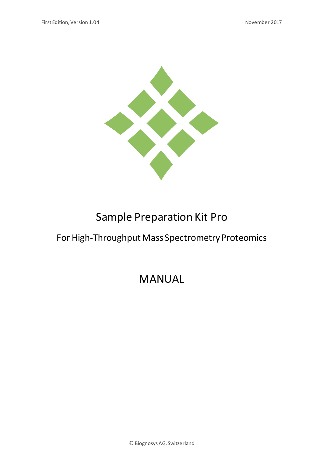

# Sample Preparation Kit Pro

# For High-Throughput Mass Spectrometry Proteomics

# MANUAL

© Biognosys AG, Switzerland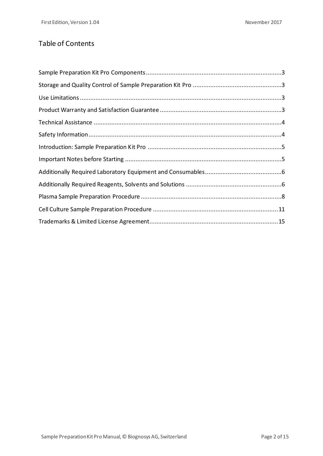# Table of Contents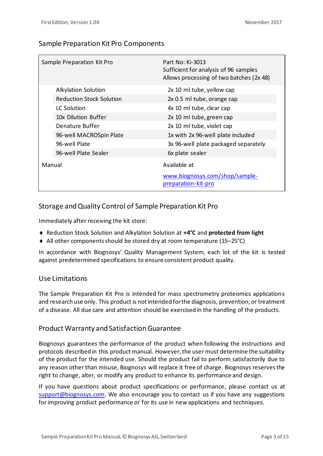## Sample Preparation Kit Pro Components

|        | Sample Preparation Kit Pro      | Part No: Ki-3013<br>Sufficient for analysis of 96 samples<br>Allows processing of two batches (2x 48) |
|--------|---------------------------------|-------------------------------------------------------------------------------------------------------|
|        | <b>Alkylation Solution</b>      | 2x 10 ml tube, yellow cap                                                                             |
|        | <b>Reduction Stock Solution</b> | 2x 0.5 ml tube, orange cap                                                                            |
|        | <b>LC Solution</b>              | 4x 10 ml tube, clear cap                                                                              |
|        | 10x Dilution Buffer             | 2x 10 ml tube, green cap                                                                              |
|        | Denature Buffer                 | 2x 10 ml tube, violet cap                                                                             |
|        | 96-well MACROSpin Plate         | 1x with 2x 96-well plate included                                                                     |
|        | 96-well Plate                   | 3x 96-well plate packaged separately                                                                  |
|        | 96-well Plate Sealer            | 6x plate sealer                                                                                       |
| Manual |                                 | Available at                                                                                          |
|        |                                 | www.biognosys.com/shop/sample-<br>preparation-kit-pro                                                 |

## Storage and Quality Control of Sample Preparation Kit Pro

Immediately after receiving the kit store:

- ◆ Reduction Stock Solution and Alkylation Solution at +4<sup>o</sup>C and **protected from light**
- All other components should be stored dry at room temperature (15–25°C)

In accordance with Biognosys' Quality Management System, each lot of the kit is tested against predetermined specifications to ensure consistent product quality.

#### Use Limitations

The Sample Preparation Kit Pro is intended for mass spectrometry proteomics applications and research use only. This product is not intended for the diagnosis, prevention, or treatment of a disease. All due care and attention should be exercised in the handling of the products.

#### Product Warranty and Satisfaction Guarantee

Biognosys guarantees the performance of the product when following the instructions and protocols described in this product manual. However, the user must determine the suitability of the product for the intended use. Should the product fail to perform satisfactorily due to any reason other than misuse, Biognosys will replace it free of charge. Biognosys reservesthe right to change, alter, or modify any product to enhance its performance and design.

If you have questions about product specifications or performance, please contact us at [support@biognosys.com.](mailto:support@biognosys.com) We also encourage you to contact us if you have any suggestions for improving product performance or for its use in new applications and techniques.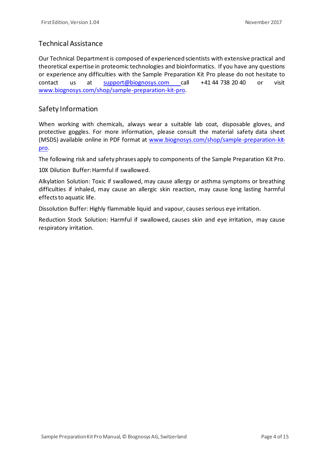### Technical Assistance

Our Technical Department is composed of experienced scientists with extensive practical and theoretical expertise in proteomic technologies and bioinformatics. If you have any questions or experience any difficulties with the Sample Preparation Kit Pro please do not hesitate to contact us at [support@biognosys.com](mailto:support@biognosys.com) call +41 44 738 20 40 or visit [www.biognosys.com/shop/sample-preparation-kit-pro](https://www.biognosys.com/shop/sample-preparation-kit-pro).

#### Safety Information

When working with chemicals, always wear a suitable lab coat, disposable gloves, and protective goggles. For more information, please consult the material safety data sheet (MSDS) available online in PDF format at [www.biognosys.com/shop/sample-preparation-kit](https://www.biognosys.com/shop/sample-preparation-kit-pro)[pro](https://www.biognosys.com/shop/sample-preparation-kit-pro).

The following risk and safety phrases apply to components of the Sample Preparation Kit Pro.

10X Dilution Buffer: Harmful if swallowed.

Alkylation Solution: Toxic if swallowed, may cause allergy or asthma symptoms or breathing difficulties if inhaled, may cause an allergic skin reaction, may cause long lasting harmful effects to aquatic life.

Dissolution Buffer: Highly flammable liquid and vapour, causes serious eye irritation.

Reduction Stock Solution: Harmful if swallowed, causes skin and eye irritation, may cause respiratory irritation.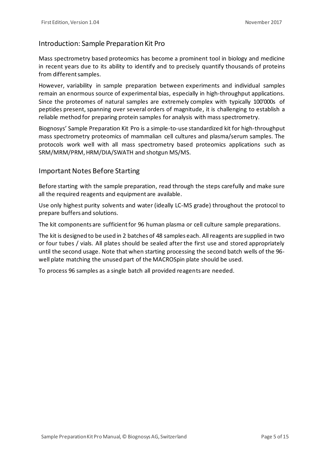### Introduction: Sample Preparation Kit Pro

Mass spectrometry based proteomics has become a prominent tool in biology and medicine in recent years due to its ability to identify and to precisely quantify thousands of proteins from different samples.

However, variability in sample preparation between experiments and individual samples remain an enormous source of experimental bias, especially in high-throughput applications. Since the proteomes of natural samples are extremely complex with typically 100'000s of peptides present, spanning over several orders of magnitude, it is challenging to establish a reliable method for preparing protein samples for analysis with mass spectrometry.

Biognosys' Sample Preparation Kit Pro is a simple-to-use standardized kit for high-throughput mass spectrometry proteomics of mammalian cell cultures and plasma/serum samples. The protocols work well with all mass spectrometry based proteomics applications such as SRM/MRM/PRM, HRM/DIA/SWATH and shotgun MS/MS.

#### Important Notes Before Starting

Before starting with the sample preparation, read through the steps carefully and make sure all the required reagents and equipment are available.

Use only highest purity solvents and water (ideally LC-MS grade) throughout the protocol to prepare buffers and solutions.

The kit components are sufficient for 96 human plasma or cell culture sample preparations.

The kit is designed to be used in 2 batches of 48 samples each. All reagents are supplied in two or four tubes / vials. All plates should be sealed after the first use and stored appropriately until the second usage. Note that when starting processing the second batch wells of the 96 well plate matching the unused part of the MACROSpin plate should be used.

To process 96 samples as a single batch all provided reagents are needed.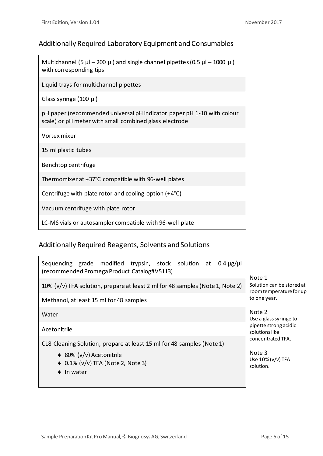# Additionally Required Laboratory Equipment and Consumables

Multichannel (5  $\mu$ l – 200  $\mu$ l) and single channel pipettes (0.5  $\mu$ l – 1000  $\mu$ l) with corresponding tips

Liquid trays for multichannel pipettes

Glass syringe (100 µl)

pH paper (recommended universal pH indicator paper pH 1-10 with colour scale) or pH meter with small combined glass electrode

Vortex mixer

15 ml plastic tubes

Benchtop centrifuge

Thermomixer at +37°C compatible with 96-well plates

Centrifuge with plate rotor and cooling option (+4°C)

Vacuum centrifuge with plate rotor

LC-MS vials or autosampler compatible with 96-well plate

# Additionally Required Reagents, Solvents and Solutions

| Sequencing grade modified trypsin, stock solution at<br>$0.4 \mu$ g/µl<br>(recommended Promega Product Catalog#V5113) | Note 1<br>Solution can be stored at<br>room temperature for up<br>to one year.                   |
|-----------------------------------------------------------------------------------------------------------------------|--------------------------------------------------------------------------------------------------|
| 10% $(v/v)$ TFA solution, prepare at least 2 ml for 48 samples (Note 1, Note 2)                                       |                                                                                                  |
| Methanol, at least 15 ml for 48 samples                                                                               |                                                                                                  |
| Water                                                                                                                 | Note 2<br>Use a glass syringe to<br>pipette strong acidic<br>solutions like<br>concentrated TFA. |
| Acetonitrile                                                                                                          |                                                                                                  |
| C18 Cleaning Solution, prepare at least 15 ml for 48 samples (Note 1)                                                 |                                                                                                  |
| ◆ 80% (v/v) Acetonitrile<br>$\bullet$ 0.1% (v/v) TFA (Note 2, Note 3)<br>In water                                     | Note 3<br>Use 10% (v/v) TFA<br>solution.                                                         |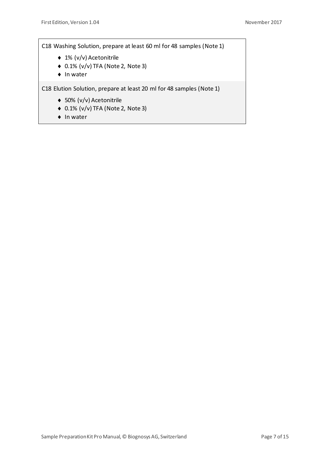C18 Washing Solution, prepare at least 60 ml for 48 samples (Note 1)

- ◆ 1% (v/v) Acetonitrile
- ◆ 0.1% (v/v) TFA (Note 2, Note 3)
- $\bullet$  In water

C18 Elution Solution, prepare at least 20 ml for 48 samples (Note 1)

- ◆ 50% (v/v) Acetonitrile
- ◆ 0.1% (v/v) TFA (Note 2, Note 3)
- $\bullet$  In water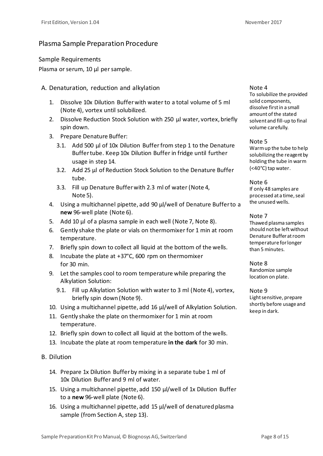### Plasma Sample Preparation Procedure

Sample Requirements

Plasma or serum, 10 µl per sample.

A. Denaturation, reduction and alkylation

- 1. Dissolve 10x Dilution Buffer with water to a total volume of 5 ml (Note 4), vortex until solubilized.
- 2. Dissolve Reduction Stock Solution with 250 µl water, vortex, briefly spin down.
- 3. Prepare Denature Buffer:
	- 3.1. Add 500 µl of 10x Dilution Buffer from step 1 to the Denature Buffer tube. Keep 10x Dilution Buffer in fridge until further usage in step 14.
	- 3.2. Add 25 µl of Reduction Stock Solution to the Denature Buffer tube.
	- 3.3. Fill up Denature Buffer with 2.3 ml of water (Note 4, Note 5).
- 4. Using a multichannel pipette, add 90 µl/well of Denature Buffer to a **new** 96-well plate (Note 6).
- 5. Add 10 µl of a plasma sample in each well (Note 7, Note 8).
- 6. Gently shake the plate or vials on thermomixer for 1 min at room temperature.
- 7. Briefly spin down to collect all liquid at the bottom of the wells.
- 8. Incubate the plate at +37°C, 600 rpm on thermomixer for 30 min.
- 9. Let the samples cool to room temperature while preparing the Alkylation Solution:
	- 9.1. Fill up Alkylation Solution with water to 3 ml (Note 4), vortex, briefly spin down (Note 9).
- 10. Using a multichannel pipette, add 16 µl/well of Alkylation Solution.
- 11. Gently shake the plate on thermomixer for 1 min at room temperature.
- 12. Briefly spin down to collect all liquid at the bottom of the wells.
- 13. Incubate the plate at room temperature **in the dark** for 30 min.
- B. Dilution
	- 14. Prepare 1x Dilution Buffer by mixing in a separate tube 1 ml of 10x Dilution Buffer and 9 ml of water.
	- 15. Using a multichannel pipette, add 150 µl/well of 1x Dilution Buffer to a **new** 96-well plate (Note 6).
	- 16. Using a multichannel pipette, add 15 µl/well of denatured plasma sample (from Section A, step 13).

#### Note 4

To solubilize the provided solid components, dissolve first in a small amount of the stated solvent and fill-up to final volume carefully.

#### Note 5

Warm up the tube to help solubilizing the reagent by holding the tube in warm (<40°C) tap water.

Note 6 If only 48 samples are processed at a time, seal the unused wells.

#### Note 7

Thawed plasma samples should not be left without Denature Buffer at room temperature for longer than 5 minutes.

Note 8 Randomize sample location on plate.

Note 9 Light sensitive, prepare shortly before usage and keep in dark.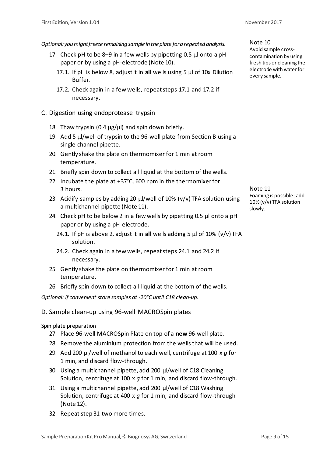*Optional:you might freeze remaining samplein the plate for a repeated analysis.*

- 17. Check pH to be 8–9 in a few wells by pipetting 0.5 µl onto a pH paper or by using a pH-electrode (Note 10).
	- 17.1. If pH is below 8, adjust it in **all** wells using 5 µl of 10x Dilution Buffer.
	- 17.2. Check again in a few wells, repeat steps 17.1 and 17.2 if necessary.
- C. Digestion using endoprotease trypsin
	- 18. Thaw trypsin (0.4  $\mu$ g/ $\mu$ l) and spin down briefly.
	- 19. Add 5 µl/well of trypsin to the 96-well plate from Section B using a single channel pipette.
	- 20. Gently shake the plate on thermomixer for 1 min at room temperature.
	- 21. Briefly spin down to collect all liquid at the bottom of the wells.
	- 22. Incubate the plate at +37°C, 600 rpm in the thermomixer for 3 hours.
	- 23. Acidify samples by adding 20 µl/well of 10% (v/v) TFA solution using a multichannel pipette (Note 11).
	- 24. Check pH to be below 2 in a few wells by pipetting 0.5  $\mu$ l onto a pH paper or by using a pH-electrode.
		- 24.1. If pH is above 2, adjust it in **all** wells adding 5 µl of 10% (v/v) TFA solution.
		- 24.2. Check again in a few wells, repeat steps 24.1 and 24.2 if necessary.
	- 25. Gently shake the plate on thermomixer for 1 min at room temperature.
	- 26. Briefly spin down to collect all liquid at the bottom of the wells.

*Optional: if convenient store samples at -20°C until C18 clean-up.*

D. Sample clean-up using 96-well MACROSpin plates

Spin plate preparation

- 27. Place 96-well MACROSpin Plate on top of a **new** 96-well plate.
- 28. Remove the aluminium protection from the wells that will be used.
- 29. Add 200 µl/well of methanol to each well, centrifuge at 100 x *g* for 1 min, and discard flow-through.
- 30. Using a multichannel pipette, add 200 µl/well of C18 Cleaning Solution, centrifuge at 100 x *g* for 1 min, and discard flow-through.
- 31. Using a multichannel pipette, add 200 µl/well of C18 Washing Solution, centrifuge at 400 x *g* for 1 min, and discard flow-through (Note 12).
- 32. Repeat step 31 two more times.

Note 10 Avoid sample crosscontamination by using fresh tips or cleaning the electrode with water for every sample.

Note 11 Foaming is possible; add 10% (v/v) TFA solution slowly.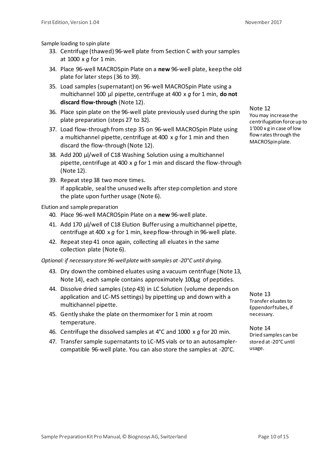Sample loading to spin plate

- 33. Centrifuge (thawed) 96-well plate from Section C with your samples at 1000 x *g* for 1 min.
- 34. Place 96-well MACROSpin Plate on a **new** 96-well plate, keep the old plate for later steps (36 to 39).
- 35. Load samples (supernatant) on 96-well MACROSpin Plate using a multichannel 100 µl pipette, centrifuge at 400 x *g* for 1 min, **do not discard flow-through** (Note 12).
- 36. Place spin plate on the 96-well plate previously used during the spin plate preparation (steps 27 to 32).
- 37. Load flow-through from step 35 on 96-well MACROSpin Plate using a multichannel pipette, centrifuge at 400 x *g* for 1 min and then discard the flow-through (Note 12).
- 38. Add 200 µl/well of C18 Washing Solution using a multichannel pipette, centrifuge at 400 x *g* for 1 min and discard the flow-through (Note 12).
- 39. Repeat step 38 two more times. If applicable, seal the unused wells after step completion and store the plate upon further usage (Note 6).

Elution and sample preparation

- 40. Place 96-well MACROSpin Plate on a **new** 96-well plate.
- 41. Add 170 µl/well of C18 Elution Buffer using a multichannel pipette, centrifuge at 400 x *g* for 1 min, keep flow-through in 96-well plate.
- 42. Repeat step 41 once again, collecting all eluates in the same collection plate (Note 6).

*Optional: if necessary store 96-well plate with samples at -20°C until drying.*

- 43. Dry down the combined eluates using a vacuum centrifuge (Note 13, Note 14), each sample contains approximately 100µg of peptides.
- 44. Dissolve dried samples (step 43) in LC Solution (volume depends on application and LC-MS settings) by pipetting up and down with a multichannel pipette.
- 45. Gently shake the plate on thermomixer for 1 min at room temperature.
- 46. Centrifuge the dissolved samples at 4°C and 1000 x *g* for 20 min.
- 47. Transfer sample supernatants to LC-MS vials or to an autosamplercompatible 96-well plate. You can also store the samples at -20°C.

Note 12 You may increase the centrifugation force up to 1'000 x g in case of low flow rates through the MACROSpinplate.

Note 13 Transfer eluates to Eppendorf tubes, if necessary.

Note 14 Dried samples can be stored at -20°C until usage.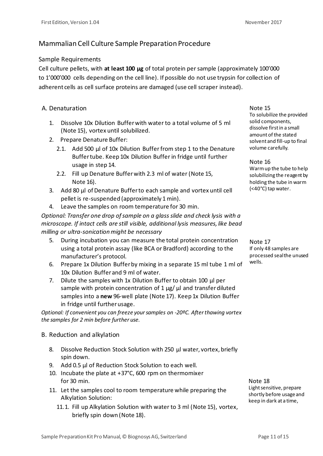# Mammalian Cell Culture Sample Preparation Procedure

#### Sample Requirements

Cell culture pellets, with **at least 100 µg** of total protein per sample (approximately 100'000 to 1'000'000 cells depending on the cell line). If possible do not use trypsin for collection of adherent cells as cell surface proteins are damaged (use cell scraper instead).

#### A. Denaturation

- 1. Dissolve 10x Dilution Buffer with water to a total volume of 5 ml (Note 15), vortex until solubilized.
- 2. Prepare Denature Buffer:
	- 2.1. Add 500 µl of 10x Dilution Buffer from step 1 to the Denature Buffer tube. Keep 10x Dilution Buffer in fridge until further usage in step 14.
	- 2.2. Fill up Denature Buffer with 2.3 ml of water (Note 15, Note 16).
- 3. Add 80 µl of Denature Buffer to each sample and vortex until cell pellet is re-suspended (approximately 1 min).
- 4. Leave the samples on room temperature for 30 min.

*Optional: Transfer one drop of sample on a glass slide and check lysis with a microscope. If intact cells are still visible, additional lysis measures, like bead milling or ultra-sonication might be necessary*

- 5. During incubation you can measure the total protein concentration using a total protein assay (like BCA or Bradford) according to the manufacturer's protocol.
- 6. Prepare 1x Dilution Buffer by mixing in a separate 15 ml tube 1 ml of 10x Dilution Buffer and 9 ml of water.
- 7. Dilute the samples with 1x Dilution Buffer to obtain 100 µl per sample with protein concentration of  $1 \mu g / \mu l$  and transfer diluted samples into a **new** 96-well plate (Note 17). Keep 1x Dilution Buffer in fridge until further usage.

*Optional: If convenient you can freeze your samples on -20ºC. After thawing vortex the samples for 2 min before further use.*

#### B. Reduction and alkylation

- 8. Dissolve Reduction Stock Solution with 250 µl water, vortex, briefly spin down.
- 9. Add 0.5 µl of Reduction Stock Solution to each well.
- 10. Incubate the plate at +37°C, 600 rpm on thermomixer for 30 min.
- 11. Let the samples cool to room temperature while preparing the Alkylation Solution:
	- 11.1. Fill up Alkylation Solution with water to 3 ml (Note 15), vortex, briefly spin down (Note 18).

Note 15 To solubilize the provided solid components, dissolve first in a small amount of the stated solvent and fill-up to final volume carefully.

Note 16 Warm up the tube to help solubilizing the reagent by holding the tube in warm (<40°C) tap water.

Note 17 If only 48 samples are processed seal the unused wells.

Note 18 Light sensitive, prepare shortly before usage and keep in dark at a time,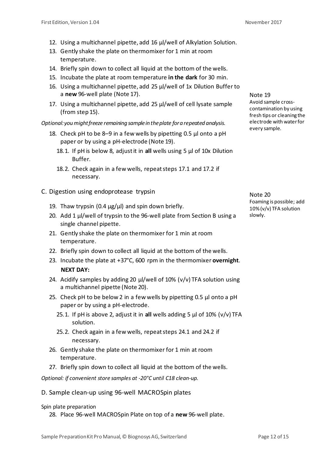- 12. Using a multichannel pipette, add 16 µl/well of Alkylation Solution.
- 13. Gently shake the plate on thermomixer for 1 min at room temperature.
- 14. Briefly spin down to collect all liquid at the bottom of the wells.
- 15. Incubate the plate at room temperature **in the dark** for 30 min.
- 16. Using a multichannel pipette, add 25 µl/well of 1x Dilution Buffer to a **new** 96-well plate (Note 17).
- 17. Using a multichannel pipette, add 25 µl/well of cell lysate sample (from step 15).

*Optional: you might freeze remaining sample in the plate for a repeated analysis.*

- 18. Check pH to be 8–9 in a few wells by pipetting 0.5 µl onto a pH paper or by using a pH-electrode (Note 19).
	- 18.1. If pH is below 8, adjust it in **all** wells using 5 µl of 10x Dilution Buffer.
	- 18.2. Check again in a few wells, repeat steps 17.1 and 17.2 if necessary.
- C. Digestion using endoprotease trypsin
	- 19. Thaw trypsin  $(0.4 \mu g/\mu l)$  and spin down briefly.
	- 20. Add 1 µl/well of trypsin to the 96-well plate from Section B using a single channel pipette.
	- 21. Gently shake the plate on thermomixer for 1 min at room temperature.
	- 22. Briefly spin down to collect all liquid at the bottom of the wells.
	- 23. Incubate the plate at +37°C, 600 rpm in the thermomixer **overnight**. **NEXT DAY:**
	- 24. Acidify samples by adding 20  $\mu$ /well of 10% (v/v) TFA solution using a multichannel pipette (Note 20).
	- 25. Check pH to be below 2 in a few wells by pipetting 0.5 µl onto a pH paper or by using a pH-electrode.
		- 25.1. If pH is above 2, adjust it in **all** wells adding 5 µl of 10% (v/v) TFA solution.
		- 25.2. Check again in a few wells, repeat steps 24.1 and 24.2 if necessary.
	- 26. Gently shake the plate on thermomixer for 1 min at room temperature.
	- 27. Briefly spin down to collect all liquid at the bottom of the wells.

*Optional: if convenient store samples at -20°C until C18 clean-up.*

D. Sample clean-up using 96-well MACROSpin plates

Spin plate preparation

28. Place 96-well MACROSpin Plate on top of a **new** 96-well plate.

Note 19 Avoid sample crosscontamination by using fresh tips or cleaning the electrode with water for every sample.

Note 20 Foaming is possible; add 10% (v/v) TFA solution slowly.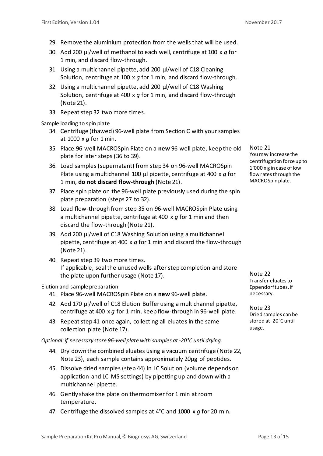- 29. Remove the aluminium protection from the wells that will be used.
- 30. Add 200 µl/well of methanol to each well, centrifuge at 100 x *g* for 1 min, and discard flow-through.
- 31. Using a multichannel pipette, add 200 µl/well of C18 Cleaning Solution, centrifuge at 100 x *g* for 1 min, and discard flow-through.
- 32. Using a multichannel pipette, add 200 µl/well of C18 Washing Solution, centrifuge at 400 x *g* for 1 min, and discard flow-through (Note 21).
- 33. Repeat step 32 two more times.

Sample loading to spin plate

- 34. Centrifuge (thawed) 96-well plate from Section C with your samples at 1000 x *g* for 1 min.
- 35. Place 96-well MACROSpin Plate on a **new** 96-well plate, keep the old plate for later steps (36 to 39).
- 36. Load samples (supernatant) from step 34 on 96-well MACROSpin Plate using a multichannel 100 µl pipette, centrifuge at 400 x g for 1 min, **do not discard flow-through** (Note 21).
- 37. Place spin plate on the 96-well plate previously used during the spin plate preparation (steps 27 to 32).
- 38. Load flow-through from step 35 on 96-well MACROSpin Plate using a multichannel pipette, centrifuge at 400 x *g* for 1 min and then discard the flow-through (Note 21).
- 39. Add 200 µl/well of C18 Washing Solution using a multichannel pipette, centrifuge at 400 x *g* for 1 min and discard the flow-through (Note 21).
- 40. Repeat step 39 two more times. If applicable, seal the unused wells after step completion and store the plate upon further usage (Note 17).

Elution and sample preparation

- 41. Place 96-well MACROSpin Plate on a **new** 96-well plate.
- 42. Add 170 µl/well of C18 Elution Buffer using a multichannel pipette, centrifuge at 400 x *g* for 1 min, keep flow-through in 96-well plate.
- 43. Repeat step 41 once again, collecting all eluates in the same collection plate (Note 17).

*Optional: if necessary store 96-well plate with samples at -20°C until drying.*

- 44. Dry down the combined eluates using a vacuum centrifuge (Note 22, Note 23), each sample contains approximately 20µg of peptides.
- 45. Dissolve dried samples (step 44) in LC Solution (volume depends on application and LC-MS settings) by pipetting up and down with a multichannel pipette.
- 46. Gently shake the plate on thermomixer for 1 min at room temperature.
- 47. Centrifuge the dissolved samples at 4°C and 1000 x *g* for 20 min.

Note 21 You may increase the centrifugation force up to 1'000 x g in case of low flow rates through the MACROSpinplate.

Note 22 Transfer eluates to Eppendorf tubes, if necessary.

Note 23 Dried samples can be stored at -20°C until usage.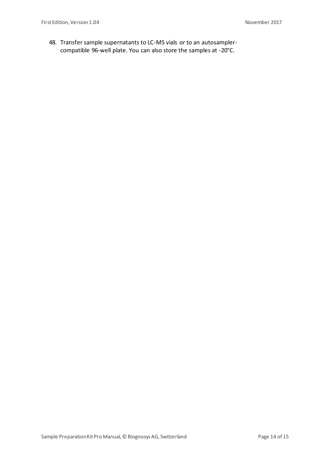48. Transfer sample supernatants to LC-MS vials or to an autosamplercompatible 96-well plate. You can also store the samples at -20°C.